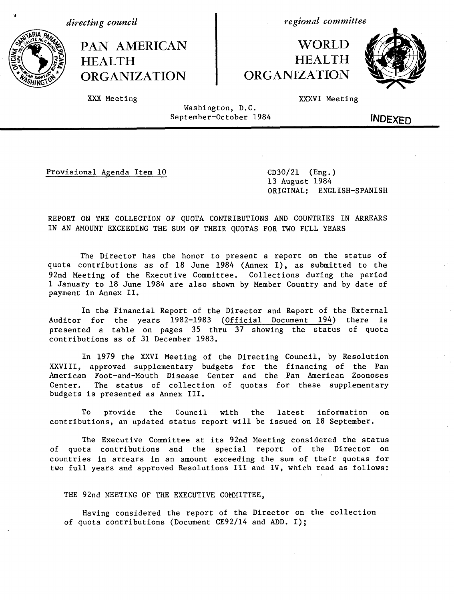*directing council*

PAN AMERICAN HEALTH ORGANIZATION

*regional committee*

# WORLD HEALTH ORGANIZATION



XXX Meeting

XXXVI Meeting

Washington, D.C. September-October 1984

INDEXED

Provisional Agenda Item 10 CD30/21 (Eng.)

13 August 1984 ORIGINAL: ENGLISH-SPANISH

REPORT ON THE COLLECTION OF QUOTA CONTRIBUTIONS AND COUNTRIES IN ARREARS IN AN AMOUNT EXCEEDING THE SUM OF THEIR QUOTAS FOR TWO FULL YEARS

The Director has the honor to present a report on the status of quota contributions as of 18 June 1984 (Annex I), as submitted to the 92nd Meeting of the Executive Committee. Collections during the period 1 January to 18 June 1984 are also shown by Member Country and by date of payment in Annex II.

In the Financial Report of the Director and Report of the External Auditor for the years 1982-1983 (Official Document 194) there is presented a table on pages 35 thru 37 showing the status of quota contributions as of 31 December 1983.

In 1979 the XXVI Meeting of the Directing Council, by Resolution XXVIII, approved supplementary budgets for the financing of the Pan American Foot-and-Mouth Disease Center and the Pan American Zoonoses Center. The status of collection of quotas for these supplementary budgets is presented as Annex III.

To provide the Council with the latest information on contributions, an updated status report will be issued on 18 September.

The Executive Committee at its 92nd Meeting considered the status of quota contributions and the special report of the Director on countries in arrears in an amount exceeding the sum of their quotas for two full years and approved Resolutions III and IV, which read as follows:

THE 92nd MEETING OF THE EXECUTIVE COMMITTEE,

Having considered the report of the Director on the collection of quota contributions (Document CE92/14 and ADD. I);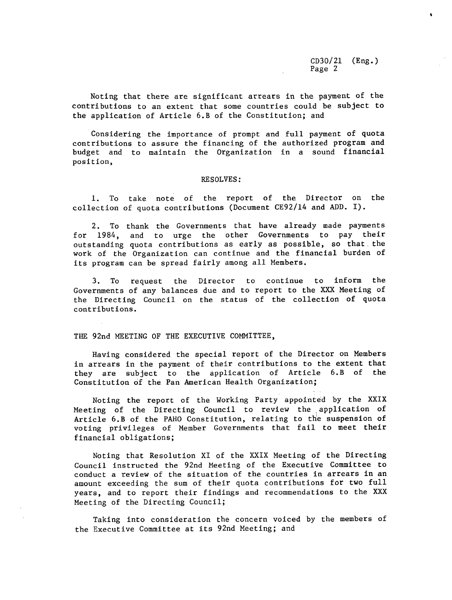CD30/21 (Eng.) Page 2

Noting that there are significant arrears in the payment of the contributions to an extent that some countries could be subject to the application of Article 6.B of the Constitution; and

Considering the importance of prompt and full payment of quota contributions to assure the financing of the authorized program and budget and to maintain the Organization in a sound financial position,

## RESOLVES:

1. To take note of the report of the Director on the collection of quota contributions (Document CE92/14 and ADD. I).

2. To thank the Governments that have already made payments for 1984, and to urge the other Governments to pay their outstanding quota contributions as early as possible, so that the work of the Organization can continue and the financial burden of its program can be spread fairly among all Members.

3. To request the Director to continue to inform the Governments of any balances due and to report to the XXX Meeting of the Directing Council on the status of the collection of quota contributions.

#### TIlE 92nd MEETING OF THE EXECUTIVE COMMITTEE,

Having considered the special report of the Director on Members in arrears in the payment of their contributions to the extent that they are subject to the application of Article 6.B of the Constitution of the Pan American Health Organization;

Noting the report of the Working Party appointed by the XXIX Meeting of the Directing Council to review the application of Article 6.B of the PAHO Constitution, relating to the suspension of voting privileges of Member Governments that fail to meet their financial obligations;

Noting that Resolution XI of the XXIX Meeting of the Directing Council instructed the 92nd Meeting of the Executive Committee to conduct a review of the situation of the countries in arrears in an amount exceeding the sum of their quota contributions for two full years, and to report their findings and recommendations to the XXX Meeting of the Directing Council;

Taking into consideration the concern voiced by the members of the Executive Committee at its 92nd Meeting; and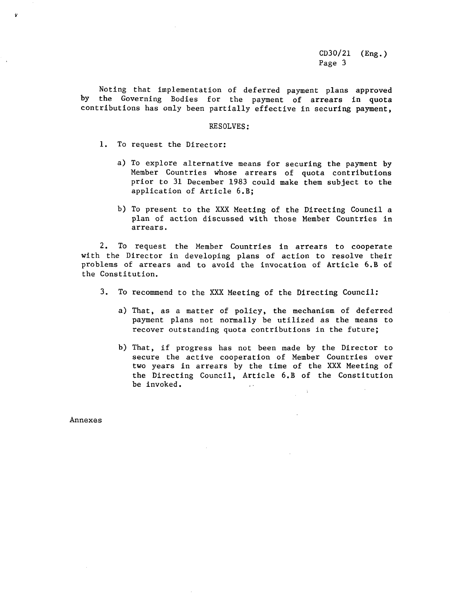Noting that implementation of deferred payment plans approved by the Governing Bodies for the payment of arrears in quota contributions has only been partially effective in securing payment,

### RESOLVES:

1. To request the Director:

- a) To explore alternative means for securing the payment by Member Countries whose arrears of quota contributions prior to 31 December 1983 could make them subject to the application of Article 6.B;
- b) To present to the XXX Meeting of the Directing Council a plan of action discussed with those Member Countries in arrears.

2. To request the Member Countries in arrears to cooperate with the Director in developing plans of action to resolve their problems of arrears and to avoid the invocation of Article 6.B of the Constitution.

- 3. To recommend to the XXX Meeting of the Directing Council:
	- a) That, as a matter of policy, the mechanism of deferred payment plans not normally be utilized as the means to recover outstanding quota contributions in the future;
	- b) That, if progress has not been made by the Director to secure the active cooperation of Member Countries over two years in arrears by the time of the XXX Meeting of the Directing Council, Article 6.B of the Constitution be invoked.  $\sim$

Annexes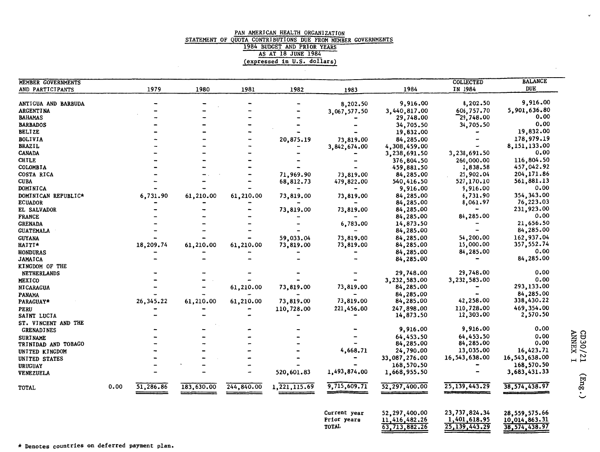### PAN AMERICAN HEALTH ORGANIZATION STATEMENT OF QUOTA CONTRIBUTIONS DUE FROM MEMBER GOVERNMENTS 1984 BUDGET AND PRIOR YEARS AS AT 18 JUNE 1984 (expressed in U.S. dollars)

| MEMBER GOVERNMENTS  |      |           |            |            |                |              |               | <b>COLLECTED</b> | <b>BALANCE</b>  |
|---------------------|------|-----------|------------|------------|----------------|--------------|---------------|------------------|-----------------|
| AND PARTICIPANTS    |      | 1979      | 1980       | 1981       | 1982           | 1983         | 1984          | IN 1984          | <b>DUE</b>      |
|                     |      |           |            |            |                |              |               |                  |                 |
| ANTIGUA AND BARBUDA |      |           |            |            |                | 8,202.50     | 9,916.00      | 8,202.50         | 9,916.00        |
| <b>ARGENTINA</b>    |      |           |            |            |                | 3,067,577.50 | 3,440,817.00  | 606,757.70       | 5,901,636.80    |
| <b>BAHAMAS</b>      |      |           |            |            |                |              | 29,748.00     | 729,748.00       | 0.00            |
| <b>BARBADOS</b>     |      |           |            |            |                |              | 34,705.50     | 34,705.50        | 0.00            |
| <b>BELIZE</b>       |      |           |            |            |                |              | 19,832.00     |                  | 19,832.00       |
| <b>BOLIVIA</b>      |      |           |            |            | 20,875.19      | 73,819.00    | 84,285.00     |                  | 178,979.19      |
| <b>BRAZIL</b>       |      |           |            |            |                | 3,842,674.00 | 4,308,459.00  |                  | 8,151,133.00    |
| <b>CANADA</b>       |      |           |            |            |                |              | 3,238,691.50  | 3,238,691.50     | 0.00            |
| <b>CHTLE</b>        |      |           |            |            |                |              | 376,804,50    | 260,000.00       | 116,804.50      |
| COLOMBIA            |      |           |            |            |                |              | 459,881.50    | 2,838.58         | 457,042.92      |
| COSTA RICA          |      |           |            |            | 71,969.90      | 73,819.00    | 84,285.00     | 25,902.04        | 204, 171.86     |
| <b>CUBA</b>         |      |           |            |            | 68,812.73      | 479,822.00   | 540,416.50    | 527,170.10       | 561,881.13      |
| DOMINICA            |      |           |            |            |                |              | 9,916.00      | 9,916.00         | 0.00            |
| DOMINICAN REPUBLIC* |      | 6,731.90  | 61,210.00  | 61,210.00  | 73,819.00      | 73,819.00    | 84,285.00     | 6,731.90         | 354, 343.00     |
| <b>ECUADOR</b>      |      |           |            |            |                |              | 84,285.00     | 8,061.97         | 76,223.03       |
| EL SALVADOR         |      |           |            |            | 73,819.00      | 73,819.00    | 84,285.00     |                  | 231,923.00      |
| <b>FRANCE</b>       |      |           |            |            |                |              | 84,285.00     | 84,285.00        | 0.00            |
| <b>GRENADA</b>      |      |           |            |            |                | 6,783.00     | 14,873.50     |                  | 21,656.50       |
| <b>GUATEMALA</b>    |      |           |            |            |                |              | 84,285.00     | <b></b>          | 84,285.00       |
|                     |      |           |            |            |                |              |               | 54,200.00        | 162,937.04      |
| <b>GUYANA</b>       |      |           |            |            | 59,033.04      | 73,819.00    | 84,285.00     | 15,000.00        | 357,552.74      |
| HAITI*              |      | 18,209.74 | 61,210.00  | 61,210.00  | 73,819.00      | 73,819.00    | 84,285.00     |                  | 0.00            |
| <b>HONDURAS</b>     |      |           |            |            |                |              | 84,285.00     | 84,285.00        |                 |
| <b>JAMAICA</b>      |      |           |            |            |                |              | 84,285.00     |                  | 84,285.00       |
| KINGDOM OF THE      |      |           |            |            |                |              |               |                  |                 |
| NETHERLANDS         |      |           |            |            |                |              | 29,748.00     | 29,748.00        | 0.00            |
| MEXICO              |      |           |            |            |                |              | 3,232,583.00  | 3,232,583.00     | 0.00            |
| <b>NICARAGUA</b>    |      |           |            | 61,210.00  | 73,819.00      | 73,819.00    | 84,285.00     |                  | 293,133.00      |
| PANAMA              |      |           |            |            |                |              | 84,285.00     |                  | 84,285.00       |
| PARAGUAY*           |      | 26,345.22 | 61,210.00  | 61,210.00  | 73,819.00      | 73,819.00    | 84,285.00     | 42,258.00        | 338,430.22      |
| PERU                |      |           |            |            | 110,728.00     | 221,456.00   | 247,898.00    | 110,728.00       | 469,354.00      |
| SAINT LUCIA         |      |           |            |            |                |              | 14,873.50     | 12,303.00        | 2,570.50        |
| ST. VINCENT AND THE |      |           |            |            |                |              |               |                  |                 |
| <b>GRENADINES</b>   |      |           |            |            |                |              | 9,916.00      | 9,916.00         | 0.00            |
| <b>SURINAME</b>     |      |           |            |            |                |              | 64,453.50     | 64,453.50        | 0.00            |
| TRINIDAD AND TOBAGO |      |           |            |            |                |              | 84,285.00     | 84,285.00        | 0.00            |
| UNITED KINGDOM      |      |           |            |            |                | 4,668.71     | 24,790.00     | 13,035.00        | 16,423.71       |
| UNITED STATES       |      |           |            |            |                |              | 33,087,276.00 | 16,543,638.00    | 16,543,638.00   |
| <b>URUGUAY</b>      |      |           |            |            |                |              | 168,570.50    |                  | 168,570.50      |
| <b>VENEZUELA</b>    |      |           |            |            | 520,601.83     | 1,493,874.00 | 1,668,955.50  |                  | 3,683,431.33    |
| TOTAL               | 0.00 | 51,286.86 | 183,630.00 | 244,840.00 | 1, 221, 115.69 | 9,715,609.71 | 52,297,400.00 | 25, 139, 443.29  | 38, 574, 438.97 |
|                     |      |           |            |            |                | Current year | 52,297,400.00 | 23,737,824.34    | 28,559,575.66   |
|                     |      |           |            |            |                | Prior years  | 11,416,482.26 | 1,401,618.95     | 10,014,863.31   |

TOTAL

63,713,882.26

 $25,139,443.29$ 

38,574,438.97

\* Denotes countries on deferred payment plan.

HH *H*

 $\mathbf{v}$ 

 $(\text{Eng.})$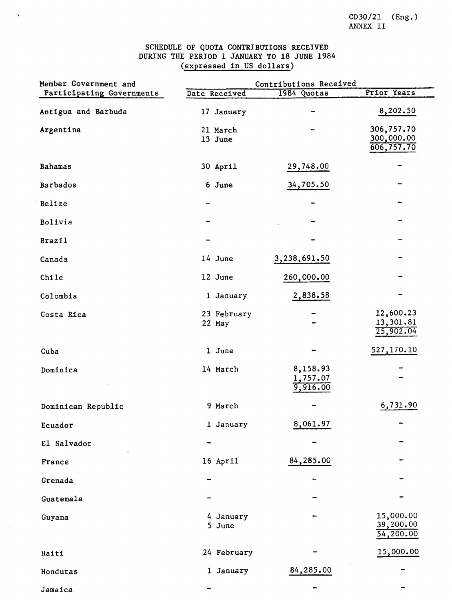## SCHEDULE OF QUOTA CONTRIBUTIONS RECEIVED DURING THE PERIOD 1 JANUARY TO 18 JUNE 1984 (expressed in US dollars)

 $\boldsymbol{\gamma}$ 

| Member Government and     | Contributions Received |                                  |                                        |  |  |  |
|---------------------------|------------------------|----------------------------------|----------------------------------------|--|--|--|
| Participating Governments | Date Received          | 1984 Quotas                      | Prior Years                            |  |  |  |
| Antigua and Barbuda       | 17 January             |                                  | 8,202.50                               |  |  |  |
| Argentina                 | 21 March<br>13 June    |                                  | 306,757.70<br>300,000.00<br>606,757.70 |  |  |  |
| <b>Bahamas</b>            | 30 April               | 29,748.00                        |                                        |  |  |  |
| Barbados                  | 6 June                 | 34,705.50                        |                                        |  |  |  |
| Belize                    |                        |                                  |                                        |  |  |  |
| Bolivia                   |                        |                                  |                                        |  |  |  |
| <b>Brazil</b>             |                        |                                  |                                        |  |  |  |
| Canada                    | 14 June                | 3,238,691.50                     |                                        |  |  |  |
| Chile                     | 12 June                | 260,000.00                       |                                        |  |  |  |
| Colombia                  | 1 January              | 2,838.58                         |                                        |  |  |  |
| Costa Rica                | 23 February<br>22 May  |                                  | 12,600.23<br>13,301.81<br>25,902.04    |  |  |  |
| Cuba                      | 1 June                 |                                  | 527,170.10                             |  |  |  |
| Dominica                  | 14 March               | 8,158.93<br>1,757.07<br>9,916.00 |                                        |  |  |  |
| Dominican Republic        | 9 March                |                                  | 6,731.90                               |  |  |  |
| Ecuador                   | 1 January              | 8,061.97                         |                                        |  |  |  |
| El Salvador               |                        |                                  |                                        |  |  |  |
| France                    | 16 April               | 84,285.00                        |                                        |  |  |  |
| Grenada                   |                        |                                  |                                        |  |  |  |
| Guatemala                 |                        |                                  |                                        |  |  |  |
| Guyana                    | 4 January<br>5 June    |                                  | 15,000.00<br>39,200.00<br>54,200.00    |  |  |  |
| Haiti                     | 24 February            |                                  | 15,000.00                              |  |  |  |
| Honduras                  | 1 January              | 84,285.00                        |                                        |  |  |  |
| Jamaica                   |                        |                                  |                                        |  |  |  |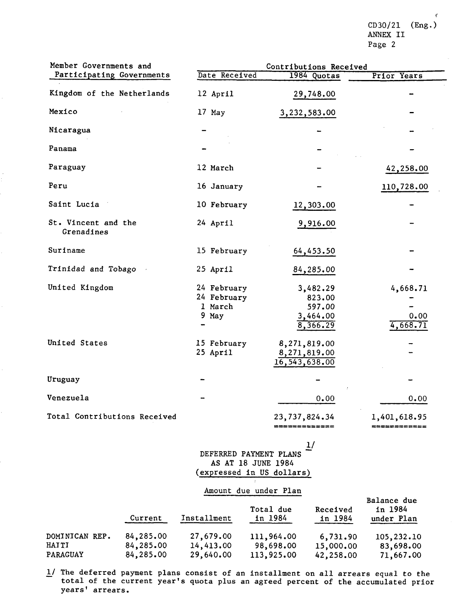CD30/21 (Eng.) ANNEX II Page 2

| Member Governments and            |                                                | Contributions Received                               |                                   |
|-----------------------------------|------------------------------------------------|------------------------------------------------------|-----------------------------------|
| Participating Governments         | Date Received                                  | 1984 Quotas                                          | Prior Years                       |
| Kingdom of the Netherlands        | 12 April                                       | 29,748.00                                            |                                   |
| Mexico                            | 17 May                                         | 3,232,583.00                                         |                                   |
| Nicaragua                         |                                                |                                                      |                                   |
| Panama                            |                                                |                                                      |                                   |
| Paraguay                          | 12 March                                       |                                                      | 42,258.00                         |
| Peru                              | 16 January                                     |                                                      | 110,728.00                        |
| Saint Lucia                       | 10 February                                    | 12,303.00                                            |                                   |
| St. Vincent and the<br>Grenadines | 24 April                                       | 9,916.00                                             |                                   |
| Suriname                          | 15 February                                    | 64,453.50                                            |                                   |
| Trinidad and Tobago               | 25 April                                       | 84,285.00                                            |                                   |
| United Kingdom                    | 24 February<br>24 February<br>1 March<br>9 May | 3,482.29<br>823.00<br>597.00<br>3,464.00<br>8,366.29 | 4,668.71<br>0.00<br>4,668.71      |
| United States                     | 15 February<br>25 April                        | 8,271,819.00<br>8,271,819.00<br>16,543,638.00        |                                   |
| Uruguay                           |                                                |                                                      |                                   |
| Venezuela                         |                                                | 0.00                                                 | 0.00                              |
| Total Contributions Received      |                                                | 23,737,824.34<br>=============                       | 1,401,618.95<br><b>EERSPREERS</b> |

1/ DEFERRED PAYMENT PLANS AS AT 18 JUNE 1984 (expressed in US dollars)

## Amount due under Plan

|                 | Current   | Installment | Total due<br>in 1984 | Received<br>in 1984 | Balance due<br>in 1984<br>under Plan |
|-----------------|-----------|-------------|----------------------|---------------------|--------------------------------------|
| DOMINICAN REP.  | 84,285.00 | 27,679.00   | 111,964.00           | 6,731.90            | 105,232.10                           |
| HAITI           | 84,285.00 | 14,413.00   | 98,698.00            | 15,000.00           | 83,698.00                            |
| <b>PARAGUAY</b> | 84,285.00 | 29,640.00   | 113,925.00           | 42,258.00           | 71,667.00                            |

 $1/$  The deferred payment plans consist of an installment on all arrears equal to the total of the current year's quota plus an agreed percent of the accumulated prior years' arrears.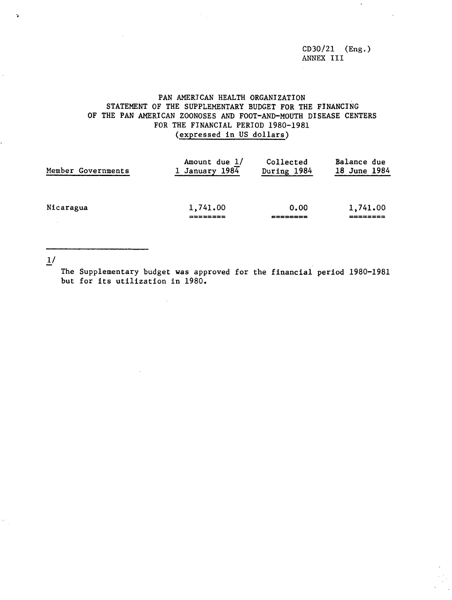CD30/21 (Eng.) ANNEX III

 $\epsilon$ 

## PAN AMERICAN HEALTH ORGANIZATION STATEMENT OF THE SUPPLEMENTARY BUDGET FOR THE FINANCING OF THE PAN AMERICAN ZOONOSES AND FOOT-AND-MOUTH DISEASE CENTERS FOR THE FINANCIAL PERIOD 1980-1981 (expressed in US dollars)

| Member Governments | Amount due 1/       | Collected        | Balance due  |
|--------------------|---------------------|------------------|--------------|
|                    | 1 January 1984      | During 1984      | 18 June 1984 |
| Nicaragua          | 1,741.00<br>======= | 0.00<br>드코드드드코드쿄 | 1,741.00     |

1/

 $\frac{1}{\sqrt{2}}$ 

 $\lambda$ 

The Supplementary budget was approved for the financial period 1980-1981 but for its utilization in 1980.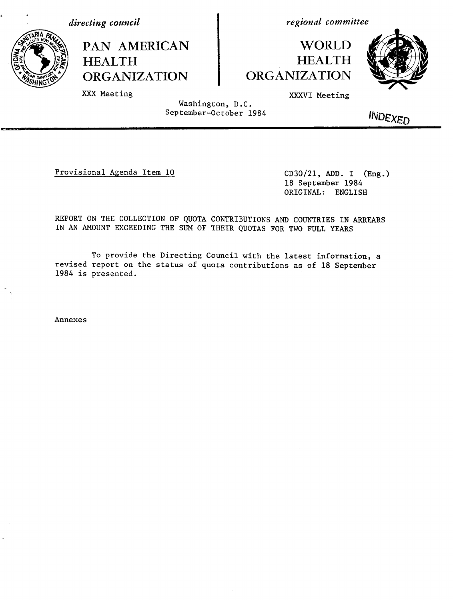*directing council*

XXX Meeting



PAN AMERICAN **HEALTH ORGANIZATION** 

*regional committee*

# **WORLD** HEALTH ORGANIZATION



XXXVI Meeting

Washington, D.C. September-October 1984

*INDEXED* 

Provisional Agenda Item 10 CD30/21, ADD. I (Eng.)

18 September 1984 ORIGINAL: ENGLISH

REPORT ON THE COLLECTION OF QUOTA CONTRIBUTIONS AND COUNTRIES IN ARREARS IN AN AMOUNT EXCEEDING THE SUM OF THEIR QUOTAS FOR TWO FULL YEARS

To provide the Directing Council with the latest information, a revised report on the status of quota contributions as of 18 September 1984 is presented.

Annexes

ls-·I - --- · '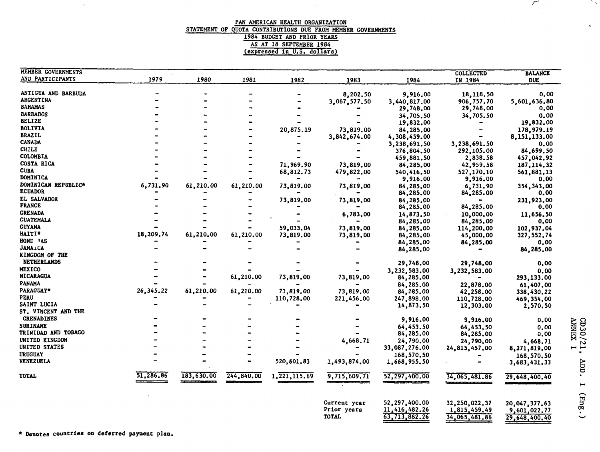#### PAN AMERICAN HEALTH ORGANIZATION STATEMENT OF QUOTA CONTRIBUTIONS DUE FROM MEMBER GOVERNMENTS 1984 BUDGET AND PRIOR YEARS AS AT 18 SEPTEMBER 1984 (expressed in U.S. dollars)

 $\mathcal{L}_{\mathrm{eff}}$ 

| MEMBER GOVERNMENTS               |           |            |            |                |                             |                                | <b>COLLECTED</b>              | <b>BALANCE</b>                |
|----------------------------------|-----------|------------|------------|----------------|-----------------------------|--------------------------------|-------------------------------|-------------------------------|
| AND PARTICIPANTS                 | 1979      | 1980       | 1981       | 1982           | 1983                        | 1984                           | IN 1984                       | <b>DUE</b>                    |
|                                  |           |            |            |                |                             |                                |                               |                               |
| ANTIGUA AND BARBUDA<br>ARGENTINA |           |            |            |                | 8,202.50                    | 9,916.00                       | 18,118.50                     | 0.00                          |
| <b>BAHAMAS</b>                   |           |            |            |                | 3,067,577.50                | 3,440,817,00                   | 906,757.70                    | 5,601,636.80                  |
|                                  |           |            |            |                |                             | 29,748.00                      | 29,748.00                     | 0,00                          |
| <b>BARBADOS</b>                  |           |            |            |                |                             | 34,705.50                      | 34,705.50                     | 0,00                          |
| <b>BELIZE</b>                    |           |            |            |                |                             | 19,832.00                      |                               | 19,832.00                     |
| <b>BOLIVIA</b>                   |           |            |            | 20,875.19      | 73,819.00                   | 84,285,00                      |                               | 178,979.19                    |
| <b>BRAZIL</b>                    |           |            |            |                | 3,842,674.00                | 4,308,459,00                   |                               | 8,151,133.00                  |
| <b>CANADA</b>                    |           |            |            |                |                             | 3,238,691.50                   | 3,238,691.50                  | 0,00                          |
| <b>CHILE</b>                     |           |            |            |                |                             | 376,804.50                     | 292,105.00                    | 84,699.50                     |
| <b>COLOMBIA</b>                  |           |            |            |                |                             | 459,881.50                     | 2,838.58                      | 457,042.92                    |
| COSTA RICA                       |           |            |            | 71,969.90      | 73,819.00                   | 84,285.00                      | 42,959.58                     | 187, 114, 32                  |
| <b>CUBA</b>                      |           |            |            | 68,812.73      | 479,822.00                  | 540,416.50                     | 527,170.10                    | 561,881.13                    |
| DOMINICA                         |           |            |            |                |                             | 9,916.00                       | 9,916.00                      | 0.00                          |
| DOMINICAN REPUBLIC*              | 6,731.90  | 61,210.00  | 61,210.00  | 73,819.00      | 73,819,00                   | 84,285,00                      | 6,731.90                      | 354, 343, 00                  |
| <b>ECUADOR</b>                   |           |            |            |                |                             | 84,285.00                      | 84,285.00                     | 0.00                          |
| EL SALVADOR                      |           |            |            | 73,819.00      | 73,819,00                   | 84,285,00                      |                               | 231,923.00                    |
| <b>FRANCE</b>                    |           |            |            |                |                             | 84,285.00                      | 84,285.00                     | 0.00                          |
| <b>GRENADA</b>                   |           |            |            |                |                             |                                |                               |                               |
| <b>GUATEMALA</b>                 |           |            |            |                | 6,783,00                    | 14,873.50                      | 10,000,00                     | 11,656,50                     |
| <b>GUYANA</b>                    |           |            |            |                |                             | 84,285.00                      | 84,285.00                     | 0,00                          |
|                                  |           |            |            | 59,033.04      | 73,819.00                   | 84,285.00                      | 114,200.00                    | 102,937.04                    |
| <b>HAITI*</b>                    | 18,209.74 | 61,210.00  | 61,210.00  | 73,819.00      | 73,819,00                   | 84,285.00                      | 45,000.00                     | 327,552.74                    |
| HOND 3AS                         |           |            |            |                |                             | 84,285,00                      | 84,285,00                     | 0.00                          |
| <b>JAMA</b> LCA                  |           |            |            |                |                             | 84,285.00                      |                               | 84,285.00                     |
| <b>KINGDOM OF THE</b>            |           |            |            |                |                             |                                |                               |                               |
| <b>NETHERLANDS</b>               |           |            |            |                |                             | 29,748.00                      | 29,748.00                     | 0,00                          |
| <b>MEXICO</b>                    |           |            |            |                |                             | 3,232,583.00                   | 3,232,583,00                  | 0.00                          |
| <b>NICARAGUA</b>                 |           |            | 61,210.00  | 73,819.00      | 73,819.00                   | 84,285.00                      |                               | 293,133.00                    |
| PANAMA                           |           |            |            |                |                             | 84,285.00                      | 22,878.00                     | 61,407.00                     |
| PARAGUAY*                        | 26,345.22 | 61,210.00  | 61,210.00  | 73,819.00      | 73,819.00                   | 84,285,00                      | 42,258.00                     | 338,430.22                    |
| PERU                             |           |            |            | 110,728.00     | 221,456.00                  | 247,898.00                     | 110,728.00                    | 469,354.00                    |
| SAINT LUCIA                      |           |            |            |                |                             | 14,873.50                      | 12,303.00                     | 2,570.50                      |
| ST. VINCENT AND THE              |           |            |            |                |                             |                                |                               |                               |
| <b>GRENADINES</b>                |           |            |            |                |                             | 9,916.00                       | 9,916,00                      | 0.00                          |
| <b>SURINAME</b>                  |           |            |            |                |                             | 64,453.50                      |                               |                               |
| TRINIDAD AND TOBAGO              |           |            |            |                |                             | 84,285.00                      | 64,453,50                     | 0.00                          |
| UNITED KINGDOM                   |           |            |            |                |                             |                                | 84,285.00                     | 0,00                          |
|                                  |           |            |            |                | 4,668.71                    | 24,790.00                      | 24,790,00                     | 4,668.71                      |
| <b>UNITED STATES</b>             |           |            |            |                |                             | 33,087,276.00                  | 24,815,457,00                 | 8,271,819.00                  |
| <b>URUGUAY</b>                   |           |            |            |                |                             | 168,570.50                     |                               | 168,570.50                    |
| VENEZUELA                        |           |            |            | 520,601.83     | 1,493,874.00                | 1,668,955.50                   |                               | 3,683,431.33                  |
| <b>TOTAL</b>                     | 51,286.86 | 183,630.00 | 244,840.00 | 1, 221, 115.69 | 9,715,609.71                | 52,297,400.00                  | 34,065,481.86                 | 29,648,400.40                 |
|                                  |           |            |            |                | Current year<br>Prior years | 52,297,400.00<br>11,416,482.26 | 32,250,022.37<br>1,815,459.49 | 20,047,377.63<br>9,601,022.77 |
|                                  |           |            |            |                | <b>TOTAL</b>                | 63,713,882.26                  | 34,065,481.86                 | 29,648,400,40                 |

\* Denotes countries on deferred payment plan.

 $\sim 20\%$ 

 $\sim$ 

 $\begin{array}{ll} \textrm{CD30/21, } & \textrm{ADD.} \\ \textrm{AWREX\ 1} & & \\ \textrm{AWREX\ 1} & & \\ \end{array}$  $I$  (Eng.)

 $\sqrt{}$ 

 $\epsilon_{\rm h}$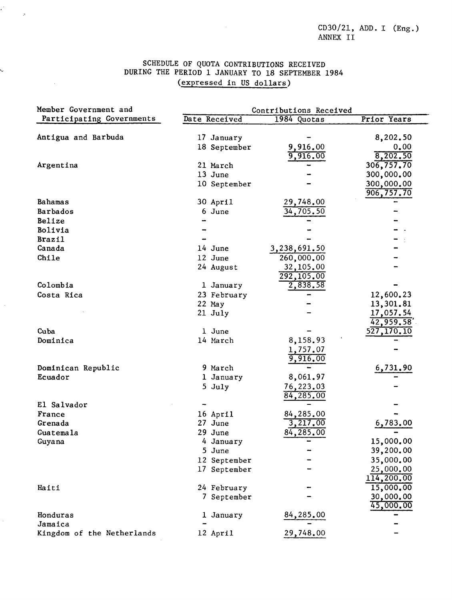CD30/21, ADD. I (Eng.) ANNEX II

## SCHEDULE OF QUOTA CONTRIBUTIONS RECEIVED DURING THE PERIOD 1 JANUARY TO 18 SEPTEMBER 1984 (expressed in US dollars)

 $\mathcal{A}^{\text{out}}$ 

 $\mathcal{L}_{\mathcal{A}}$  $\sim$   $\sigma$ 

 $\mathcal{A}$ 

 $\epsilon$ 

 $\sim$ 

| Member Government and      | Contributions Received |                      |             |  |  |  |
|----------------------------|------------------------|----------------------|-------------|--|--|--|
| Participating Governments  | Date Received          | 1984 Quotas          | Prior Years |  |  |  |
|                            |                        |                      |             |  |  |  |
| Antigua and Barbuda        | 17 January             |                      | 8,202.50    |  |  |  |
|                            | 18 September           | 9,916.00             | 0.00        |  |  |  |
|                            |                        | 9,916.00             | 8,202.50    |  |  |  |
| Argentina                  | 21 March               |                      | 306,757.70  |  |  |  |
|                            | 13 June                |                      | 300,000.00  |  |  |  |
|                            | 10 September           |                      | 300,000.00  |  |  |  |
| Bahamas                    | 30 April               | 29,748.00            | 906,757.70  |  |  |  |
| Barbados                   | 6 June                 | 34,705.50            |             |  |  |  |
| Belize                     |                        |                      |             |  |  |  |
| Bolivia                    |                        |                      |             |  |  |  |
| <b>Brazil</b>              |                        |                      |             |  |  |  |
| Canada                     | 14 June                | 3,238,691.50         |             |  |  |  |
| Chile                      | 12 June                |                      |             |  |  |  |
|                            |                        | 260,000.00           |             |  |  |  |
|                            | 24 August              | 32,105.00            |             |  |  |  |
|                            |                        | 292,105.00           |             |  |  |  |
| Colombia                   | 1 January              | 2,838.58             |             |  |  |  |
| Costa Rica                 | 23 February            |                      | 12,600.23   |  |  |  |
|                            | 22 May                 |                      | 13,301.81   |  |  |  |
|                            | 21 July                |                      | 17,057.54   |  |  |  |
| Cuba                       |                        |                      | 42,959.58   |  |  |  |
|                            | 1 June<br>14 March     | 8,158.93             | 527,170.10  |  |  |  |
| Dominica                   |                        |                      |             |  |  |  |
|                            |                        | 1,757.07<br>9,916.00 |             |  |  |  |
| Dominican Republic         | 9 March                |                      | 6,731.90    |  |  |  |
| Ecuador                    | 1 January              | 8,061.97             |             |  |  |  |
|                            | 5 July                 | 76,223.03            |             |  |  |  |
|                            |                        | 84,285.00            |             |  |  |  |
| El Salvador                |                        |                      |             |  |  |  |
| France                     | 16 April               | 84,285.00            |             |  |  |  |
| Grenada                    | 27 June                | 3,217.00             | 6,783.00    |  |  |  |
| Guatemala                  | 29 June                | 84,285.00            |             |  |  |  |
| Guyana                     | 4 January              |                      | 15,000.00   |  |  |  |
|                            | 5 June                 |                      | 39,200.00   |  |  |  |
|                            | 12 September           |                      | 35,000.00   |  |  |  |
|                            | 17 September           |                      | 25,000.00   |  |  |  |
|                            |                        |                      | 114,200.00  |  |  |  |
| Haiti                      | 24 February            |                      | 15,000.00   |  |  |  |
|                            | 7 September            |                      | 30,000.00   |  |  |  |
|                            |                        |                      | 45,000.00   |  |  |  |
| Honduras                   | 1 January              | 84,285.00            |             |  |  |  |
| Jamaica                    |                        |                      |             |  |  |  |
| Kingdom of the Netherlands | 12 April               | <u>29,748.00</u>     |             |  |  |  |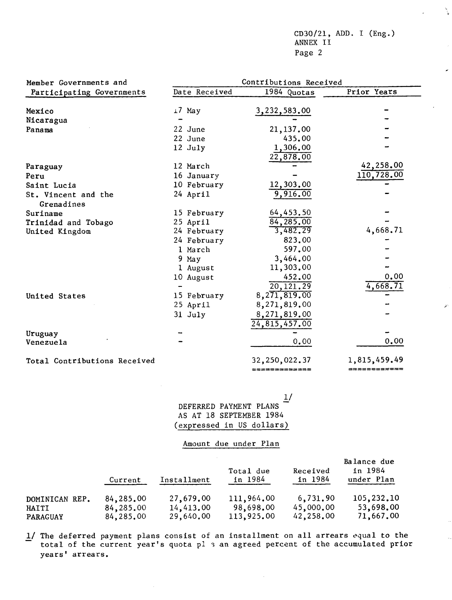CD30/21, ADD. I (Eng.) ANNEX II Page 2

N.

| Member Governments and            |               | Contributions Received        |              |
|-----------------------------------|---------------|-------------------------------|--------------|
| Participating Governments         | Date Received | 1984 Quotas                   | Prior Years  |
|                                   |               |                               |              |
| Mexico                            | 17 May        | 3,232,583.00                  |              |
| Nicaragua                         |               |                               |              |
| Panama                            | 22 June       | 21,137.00                     |              |
|                                   | 22 June       | 435.00                        |              |
|                                   | 12 July       | 1,306.00                      |              |
|                                   |               | 22,878.00                     |              |
| Paraguay                          | 12 March      |                               | 42,258.00    |
| Peru                              | 16 January    |                               | 110,728.00   |
| Saint Lucia                       | 10 February   | 12,303.00                     |              |
| St. Vincent and the<br>Grenadines | 24 April      | 9,916.00                      |              |
| Suriname                          | 15 February   | 64,453.50                     |              |
| Trinidad and Tobago               | 25 April      | 84,285.00                     |              |
| United Kingdom                    | 24 February   | 3,482.29                      | 4,668.71     |
|                                   | 24 February   | 823.00                        |              |
|                                   | 1 March       | 597.00                        |              |
|                                   | 9 May         | 3,464.00                      |              |
|                                   | 1 August      | 11,303.00                     |              |
|                                   | 10 August     | 452,00                        | 0.00         |
|                                   |               | 20, 121.29                    | 4,668.71     |
| United States                     | 15 February   | 8, 271, 819, 00               |              |
|                                   | 25 April      | 8,271,819.00                  |              |
|                                   | 31 July       |                               |              |
|                                   |               | 8,271,819.00<br>24,815,457.00 |              |
| Uruguay                           |               |                               |              |
| Venezuela                         |               | 0,00                          | 0,00         |
| Total Contributions Received      |               | 32,250,022.37                 | 1,815,459.49 |
|                                   |               | =============                 | ============ |

 $\frac{1}{2}$ DEFERRED PAYMENT PLANS AS AT 18 SEPTEMBER 1984 (expressed in US dollars)

## Amount due under Plan

|                 | Current   | Installment | Total due<br>in 1984 | Received<br>in 1984 | Balance due<br>in 1984<br>under Plan |
|-----------------|-----------|-------------|----------------------|---------------------|--------------------------------------|
| DOMINICAN REP.  | 84,285,00 | 27,679,00   | 111,964.00           | 6,731.90            | 105,232.10                           |
| HAITI           | 84,285,00 | 14,413,00   | 98,698.00            | 45,000,00           | 53,698,00                            |
| <b>PARAGUAY</b> | 84,285.00 | 29,640.00   | 113,925.00           | 42,258.00           | 71,667.00                            |

 $\mathcal{L}_{\mathcal{A}}$ 

1/ The deferred payment plans consist of an installment on all arrears equal to the total of the current year's quota pl 3 an agreed percent of the accumulated prior years' arrears.